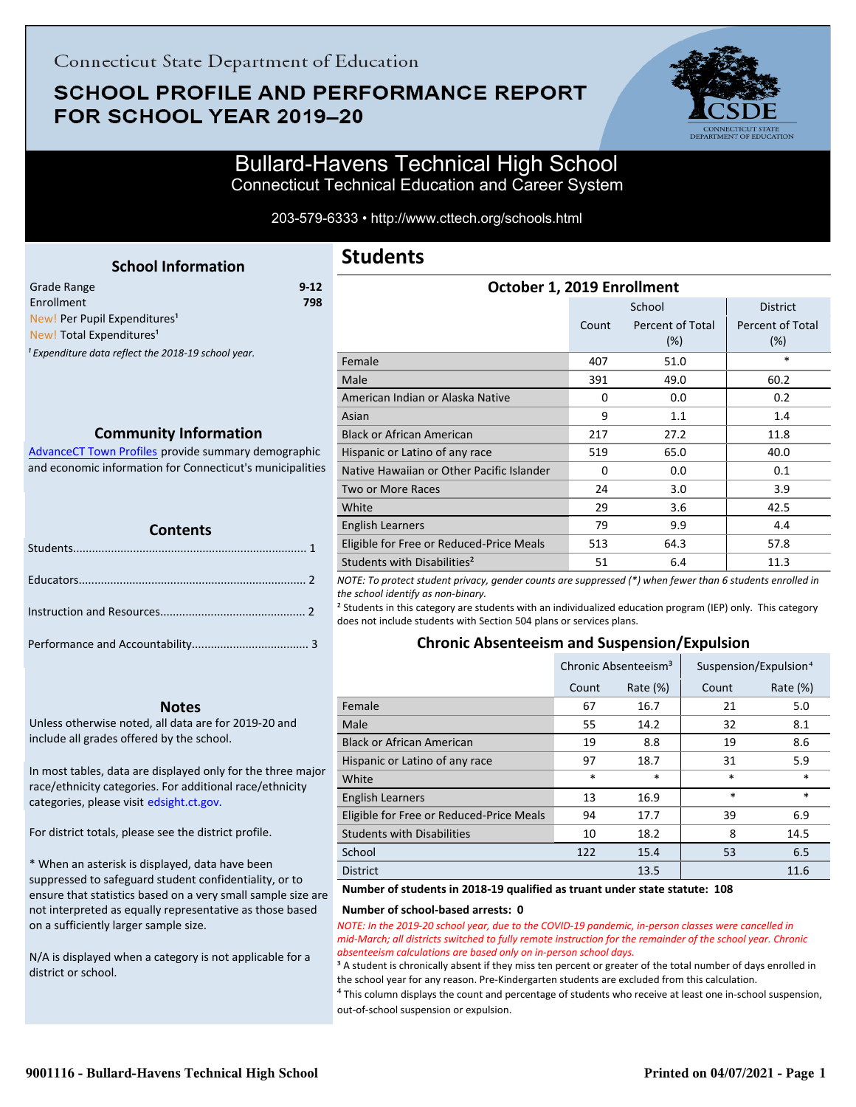## **SCHOOL PROFILE AND PERFORMANCE REPORT** FOR SCHOOL YEAR 2019-20



## Bullard-Havens Technical High School Connecticut Technical Education and Career System

203-579-6333 • http://www.cttech.org/schools.html

**Students**

## <span id="page-0-0"></span>**School Information** Grade Range **9-12** Enrollment **798** New! Per Pupil Expenditures<sup>1</sup> New! Total Expenditures<sup>1</sup> <sup>1</sup> Expenditure data reflect the 2018-19 school year.

## **Community Information**

AdvanceCT Town Profiles provide summary demographic  [and economic information for Connecticut's municipalities](http://www.cerc.com/townprofiles/)

| <b>TELEVISION</b><br><b>Contents</b> |  |  |  |
|--------------------------------------|--|--|--|
|                                      |  |  |  |
|                                      |  |  |  |
|                                      |  |  |  |
|                                      |  |  |  |

#### **Notes**

Unless otherwise noted, all data are for 2019-20 and include all grades offered by the school.

[In most tables, data are displayed only for the three major](http://edsight.ct.gov/) race/ethnicity categories. For additional race/ethnicity categories, please visit edsight.ct.gov.

For district totals, please see the district profile.

\* When an asterisk is displayed, data have been suppressed to safeguard student confidentiality, or to ensure that statistics based on a very small sample size are not interpreted as equally representative as those based on a sufficiently larger sample size.

N/A is displayed when a category is not applicable for a district or school.

| October 1, 2019 Enrollment                |          |                         |                         |  |  |
|-------------------------------------------|----------|-------------------------|-------------------------|--|--|
|                                           |          | School                  | <b>District</b>         |  |  |
|                                           | Count    | Percent of Total<br>(%) | Percent of Total<br>(%) |  |  |
| Female                                    | 407      | 51.0                    | *                       |  |  |
| Male                                      | 391      | 49.0                    | 60.2                    |  |  |
| American Indian or Alaska Native          | $\Omega$ | 0.0                     | 0.2                     |  |  |
| Asian                                     | 9        | 1.1                     | 1.4                     |  |  |
| <b>Black or African American</b>          | 217      | 27.2                    | 11.8                    |  |  |
| Hispanic or Latino of any race            | 519      | 65.0                    | 40.0                    |  |  |
| Native Hawaiian or Other Pacific Islander | 0        | 0.0                     | 0.1                     |  |  |
| <b>Two or More Races</b>                  | 24       | 3.0                     | 3.9                     |  |  |
| White                                     | 29       | 3.6                     | 42.5                    |  |  |
| English Learners                          | 79       | 9.9                     | 4.4                     |  |  |
| Eligible for Free or Reduced-Price Meals  | 513      | 64.3                    | 57.8                    |  |  |
| Students with Disabilities <sup>2</sup>   | 51       | 6.4                     | 11.3                    |  |  |

*NOTE: To protect student privacy, gender counts are suppressed (\*) when fewer than 6 students enrolled in the school identify as non-binary.*

² Students in this category are students with an individualized education program (IEP) only. This category does not include students with Section 504 plans or services plans.

## **Chronic Absenteeism and Suspension/Expulsion**

|                                          | Chronic Absenteeism <sup>3</sup> |             | Suspension/Expulsion <sup>4</sup> |             |
|------------------------------------------|----------------------------------|-------------|-----------------------------------|-------------|
|                                          | Count                            | Rate $(\%)$ | Count                             | Rate $(\%)$ |
| Female                                   | 67                               | 16.7        | 21                                | 5.0         |
| Male                                     | 55                               | 14.2        | 32                                | 8.1         |
| <b>Black or African American</b>         | 19                               | 8.8         | 19                                | 8.6         |
| Hispanic or Latino of any race           | 97                               | 18.7        | 31                                | 5.9         |
| White                                    | $\ast$                           | $\ast$      | $\ast$                            | $\ast$      |
| <b>English Learners</b>                  | 13                               | 16.9        | *                                 | $\ast$      |
| Eligible for Free or Reduced-Price Meals | 94                               | 17.7        | 39                                | 6.9         |
| <b>Students with Disabilities</b>        | 10                               | 18.2        | 8                                 | 14.5        |
| School                                   | 122                              | 15.4        | 53                                | 6.5         |
| <b>District</b>                          |                                  | 13.5        |                                   | 11.6        |

#### **Number of students in 2018-19 qualified as truant under state statute: 108**

#### **Number of school-based arrests: 0**

*NOTE: In the 2019-20 school year, due to the COVID-19 pandemic, in-person classes were cancelled in mid-March; all districts switched to fully remote instruction for the remainder of the school year. Chronic absenteeism calculations are based only on in-person school days.*

<sup>3</sup> A student is chronically absent if they miss ten percent or greater of the total number of days enrolled in the school year for any reason. Pre-Kindergarten students are excluded from this calculation.

<sup>4</sup> This column displays the count and percentage of students who receive at least one in-school suspension, out-of-school suspension or expulsion.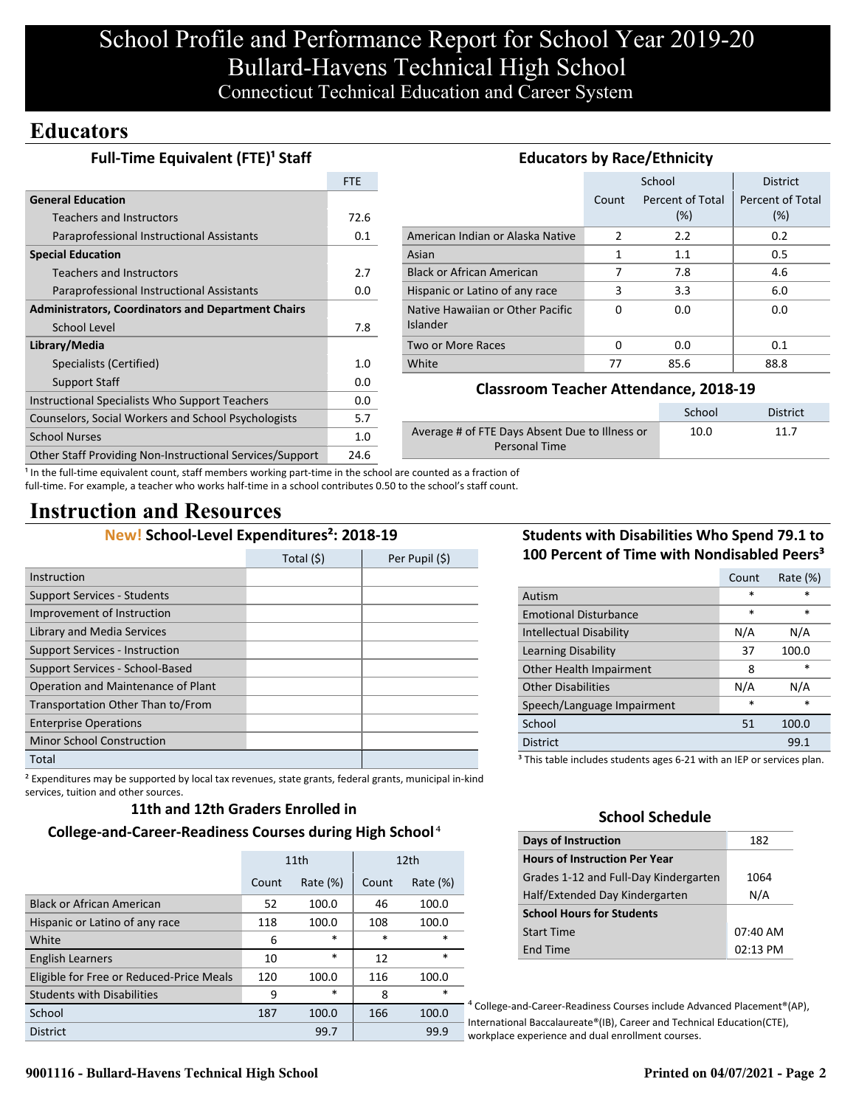## **Educators**

| <b>Full-Time Equivalent (FTE)<sup>1</sup> Staff</b>       | <b>Educators by Race/Ethnicity</b> |                                                        |              |                  |                  |
|-----------------------------------------------------------|------------------------------------|--------------------------------------------------------|--------------|------------------|------------------|
|                                                           | FTE                                |                                                        |              | School           | <b>District</b>  |
| <b>General Education</b>                                  |                                    |                                                        | Count        | Percent of Total | Percent of Total |
| <b>Teachers and Instructors</b>                           | 72.6                               |                                                        |              | (%)              | (%)              |
| Paraprofessional Instructional Assistants                 | 0.1                                | American Indian or Alaska Native                       | 2            | 2.2              | 0.2              |
| <b>Special Education</b>                                  |                                    | Asian                                                  | $\mathbf{1}$ | 1.1              | 0.5              |
| <b>Teachers and Instructors</b>                           | 2.7                                | <b>Black or African American</b>                       |              | 7.8              | 4.6              |
| Paraprofessional Instructional Assistants                 | 0.0                                | Hispanic or Latino of any race                         | 3            | 3.3              | 6.0              |
| <b>Administrators, Coordinators and Department Chairs</b> |                                    | Native Hawaiian or Other Pacific                       | $\Omega$     | 0.0              | 0.0              |
| School Level                                              | 7.8                                | Islander                                               |              |                  |                  |
| Library/Media                                             |                                    | Two or More Races                                      | $\Omega$     | 0.0              | 0.1              |
| Specialists (Certified)                                   | 1.0                                | White                                                  | 77           | 85.6             | 88.8             |
| Support Staff                                             | 0.0                                |                                                        |              |                  |                  |
| Instructional Specialists Who Support Teachers            | 0.0                                | <b>Classroom Teacher Attendance, 2018-19</b>           |              |                  |                  |
| Counselors, Social Workers and School Psychologists       | 5.7                                |                                                        |              | School           | <b>District</b>  |
| <b>School Nurses</b>                                      | 1.0                                | Average # of FTE Days Absent Due to Illness or<br>10.0 |              | 11.7             |                  |
| Other Staff Providing Non-Instructional Services/Support  | 24.6                               | <b>Personal Time</b>                                   |              |                  |                  |

<sup>1</sup> In the full-time equivalent count, staff members working part-time in the school are counted as a fraction of full-time. For example, a teacher who works half-time in a school contributes 0.50 to the school's staff count.

## **Instruction and Resources**

## **New! School-Level Expenditures²: 2018-19**

|                                       | Total (\$) | Per Pupil (\$) |
|---------------------------------------|------------|----------------|
| Instruction                           |            |                |
| <b>Support Services - Students</b>    |            |                |
| Improvement of Instruction            |            |                |
| Library and Media Services            |            |                |
| <b>Support Services - Instruction</b> |            |                |
| Support Services - School-Based       |            |                |
| Operation and Maintenance of Plant    |            |                |
| Transportation Other Than to/From     |            |                |
| <b>Enterprise Operations</b>          |            |                |
| <b>Minor School Construction</b>      |            |                |
| Total                                 |            |                |

² Expenditures may be supported by local tax revenues, state grants, federal grants, municipal in-kind services, tuition and other sources.

### **11th and 12th Graders Enrolled in**

## **College-and-Career-Readiness Courses during High School**⁴

|                                          | 11th  |             |        | 12 <sub>th</sub> |
|------------------------------------------|-------|-------------|--------|------------------|
|                                          | Count | Rate $(\%)$ | Count  | Rate $(\%)$      |
| <b>Black or African American</b>         | 52    | 100.0       | 46     | 100.0            |
| Hispanic or Latino of any race           | 118   | 100.0       | 108    | 100.0            |
| White                                    | 6     | $\ast$      | $\ast$ | $\ast$           |
| <b>English Learners</b>                  | 10    | $\ast$      | 12     | $\ast$           |
| Eligible for Free or Reduced-Price Meals | 120   | 100.0       | 116    | 100.0            |
| <b>Students with Disabilities</b>        | 9     | $\ast$      | 8      | *                |
| School                                   | 187   | 100.0       | 166    | 100.0            |
| <b>District</b>                          |       | 99.7        |        | 99.9             |

## **Students with Disabilities Who Spend 79.1 to 100 Percent of Time with Nondisabled Peers³**

|                              | Count  | Rate (%) |
|------------------------------|--------|----------|
| Autism                       | $\ast$ | $\ast$   |
| <b>Emotional Disturbance</b> | $\ast$ | $\ast$   |
| Intellectual Disability      | N/A    | N/A      |
| Learning Disability          | 37     | 100.0    |
| Other Health Impairment      | 8      | *        |
| <b>Other Disabilities</b>    | N/A    | N/A      |
| Speech/Language Impairment   | *      | *        |
| School                       | 51     | 100.0    |
| <b>District</b>              |        | 99.1     |
|                              |        |          |

<sup>3</sup> This table includes students ages 6-21 with an IEP or services plan.

## **School Schedule**

| <b>Days of Instruction</b>            | 182        |
|---------------------------------------|------------|
| <b>Hours of Instruction Per Year</b>  |            |
| Grades 1-12 and Full-Day Kindergarten | 1064       |
| Half/Extended Day Kindergarten        | N/A        |
| <b>School Hours for Students</b>      |            |
| <b>Start Time</b>                     | 07:40 AM   |
| End Time                              | $02:13$ PM |

⁴ College-and-Career-Readiness Courses include Advanced Placement®(AP), International Baccalaureate®(IB), Career and Technical Education(CTE), workplace experience and dual enrollment courses.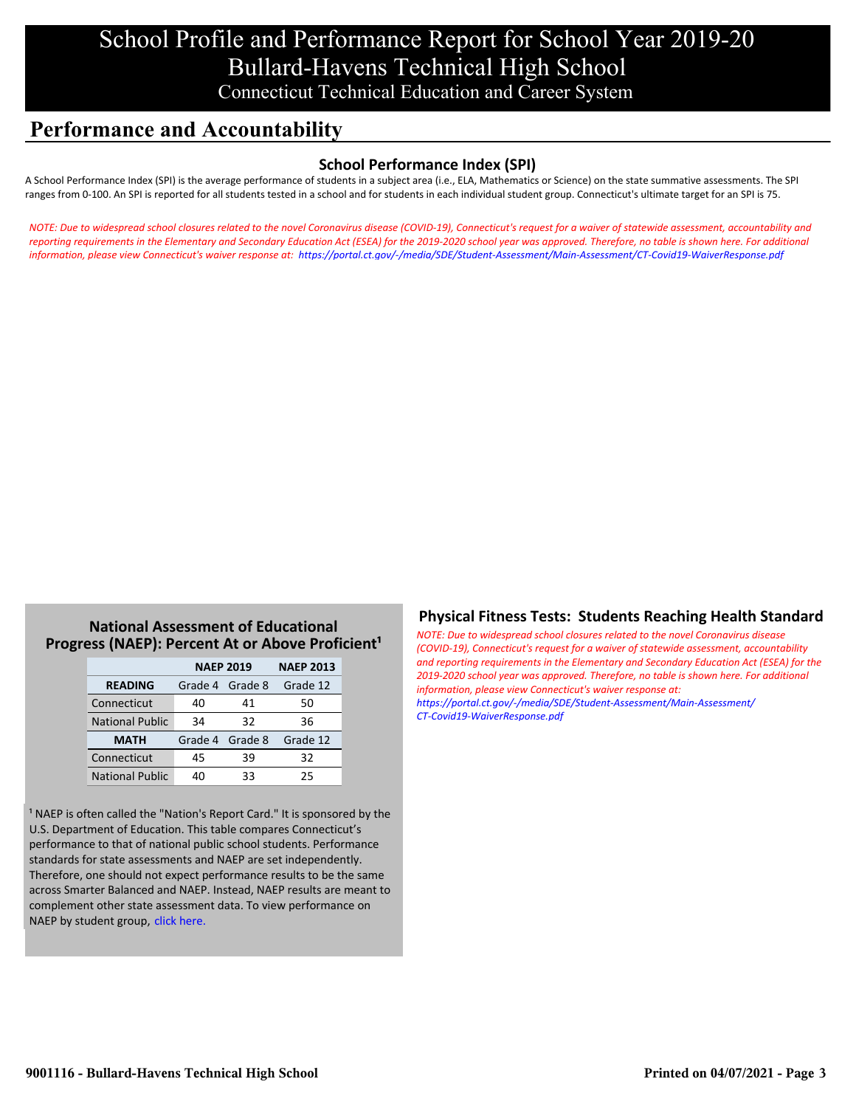## **Performance and Accountability**

## **School Performance Index (SPI)**

A School Performance Index (SPI) is the average performance of students in a subject area (i.e., ELA, Mathematics or Science) on the state summative assessments. The SPI ranges from 0-100. An SPI is reported for all students tested in a school and for students in each individual student group. Connecticut's ultimate target for an SPI is 75.

*[NOTE: Due to widespread school closures related to the novel Coronavirus disease \(COVID-19\), Connecticut's request for a waiver of statewide assessment, accountability and](https://portal.ct.gov/-/media/SDE/Student-Assessment/Main-Assessment/CT-Covid19-WaiverResponse.pdf) reporting requirements in the Elementary and Secondary Education Act (ESEA) for the 2019-2020 school year was approved. Therefore, no table is shown here. For additional information, please view Connecticut's waiver response at: https://portal.ct.gov/-/media/SDE/Student-Assessment/Main-Assessment/CT-Covid19-WaiverResponse.pdf*

## **National Assessment of Educational Progress (NAEP): Percent At or Above Proficient<sup>1</sup>**

|                        | <b>NAEP 2019</b> | <b>NAEP 2013</b> |          |
|------------------------|------------------|------------------|----------|
| <b>READING</b>         | Grade 4 Grade 8  |                  | Grade 12 |
| Connecticut            | 40               | 41               | 50       |
| <b>National Public</b> | 34               | 32               | 36       |
| <b>MATH</b>            | Grade 4 Grade 8  |                  | Grade 12 |
| Connecticut            | 45               | 39               | 32       |
| <b>National Public</b> | 40               | 33               | 25       |

<sup>1</sup> NAEP is often called the "Nation's Report Card." It is sponsored by the U.S. Department of Education. This table compares Connecticut's performance to that of national public school students. Performance standards for state assessments and NAEP are set independently. Therefore, one should not expect performance results to be the same across Smarter Balanced and NAEP. Instead, NAEP results are meant to complement other state assessment data. To view performance on NAEP by student group, click here.

## **Physical Fitness Tests: Students Reaching Health Standard**

*NOTE: Due to widespread school closures related to the novel Coronavirus disease (COVID-19), Connecticut's request for a waiver of statewide assessment, accountability [and reporting requirements in the Elementary and Secondary Education Act \(ESEA\) for the](https://portal.ct.gov/-/media/SDE/Student-Assessment/Main-Assessment/CT-Covid19-WaiverResponse.pdf) 2019-2020 school year was approved. Therefore, no table is shown here. For additional information, please view Connecticut's waiver response at: https://portal.ct.gov/-/media/SDE/Student-Assessment/Main-Assessment/ CT-Covid19-WaiverResponse.pdf*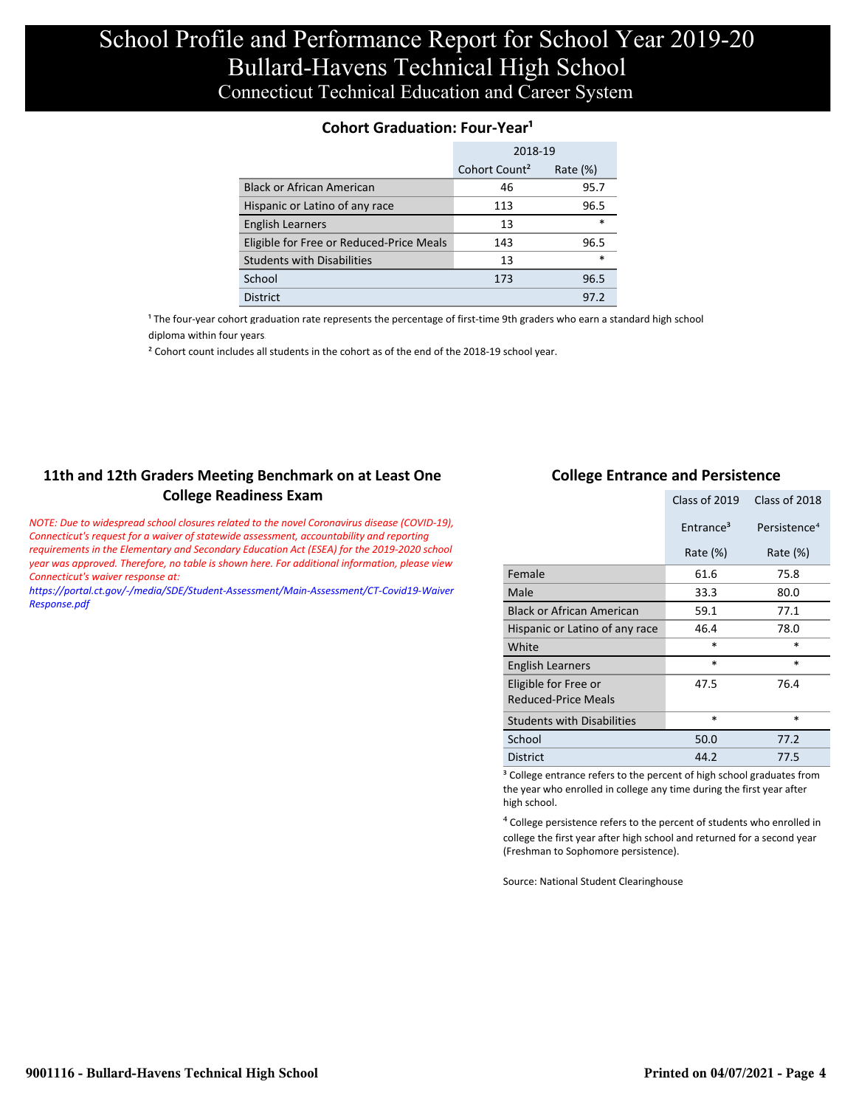### **Cohort Graduation: Four-Year<sup>1</sup>**

|                                          | 2018-19                   |             |  |
|------------------------------------------|---------------------------|-------------|--|
|                                          | Cohort Count <sup>2</sup> | Rate $(\%)$ |  |
| Black or African American                | 46                        | 95.7        |  |
| Hispanic or Latino of any race           | 113                       | 96.5        |  |
| <b>English Learners</b>                  | 13                        | $\ast$      |  |
| Eligible for Free or Reduced-Price Meals | 143                       | 96.5        |  |
| <b>Students with Disabilities</b>        | 13                        | $\ast$      |  |
| School                                   | 173                       | 96.5        |  |
| <b>District</b>                          |                           | 97.2        |  |

<sup>1</sup> The four-year cohort graduation rate represents the percentage of first-time 9th graders who earn a standard high school [diploma within four years.](http://www.sde.ct.gov/sde/cwp/view.asp?a=2758&q=334898)

<sup>2</sup> Cohort count includes all students in the cohort as of the end of the 2018-19 school year.

## **11th and 12th Graders Meeting Benchmark on at Least One College Readiness Exam**

*NOTE: Due to widespread school closures related to the novel Coronavirus disease (COVID-19), Connecticut's request for a waiver of statewide assessment, accountability and reporting requirements in the Elementary and Secondary Education Act (ESEA) for the 2019-2020 school year was approved. Therefore, no table is shown here. For additional information, please view Connecticut's waiver response at:*

*[https://portal.ct.gov/-/media/SDE/Student-Assessment/Main-Assessment/CT-Covid19-Waiver](https://portal.ct.gov/-/media/SDE/Student-Assessment/Main-Assessment/CT-Covid19-WaiverResponse.pdf) Response.pdf*

#### **College Entrance and Persistence**

|                                             | Class of 2019         | Class of 2018            |
|---------------------------------------------|-----------------------|--------------------------|
|                                             | Entrance <sup>3</sup> | Persistence <sup>4</sup> |
|                                             | Rate $(\%)$           | Rate $(\%)$              |
| Female                                      | 61.6                  | 75.8                     |
| Male                                        | 33.3                  | 80.0                     |
| <b>Black or African American</b>            | 59.1                  | 77.1                     |
| Hispanic or Latino of any race              | 46.4                  | 78.0                     |
| White                                       | *                     | $\ast$                   |
| English Learners                            | *                     | *                        |
| Eligible for Free or<br>Reduced-Price Meals | 47.5                  | 76.4                     |
| <b>Students with Disabilities</b>           | $\ast$                | *                        |
| School                                      | 50.0                  | 77.2                     |
| <b>District</b>                             | 44.2                  | 77.5                     |

<sup>3</sup> College entrance refers to the percent of high school graduates from the year who enrolled in college any time during the first year after high school.

⁴ College persistence refers to the percent of students who enrolled in college the first year after high school and returned for a second year (Freshman to Sophomore persistence).

Source: National Student Clearinghouse